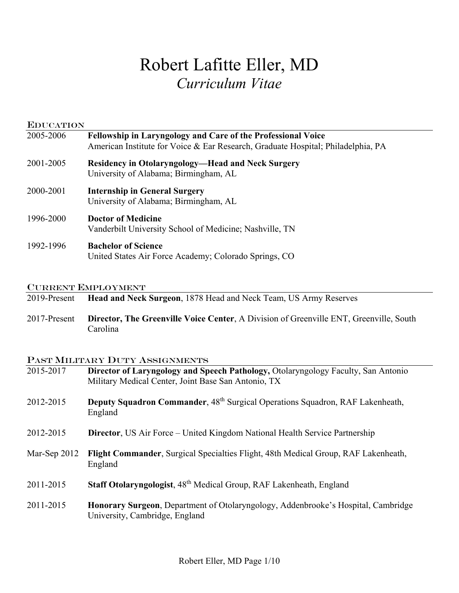# Robert Lafitte Eller, MD *Curriculum Vitae*

| <b>EDUCATION</b> |                                                                                                                                                  |  |
|------------------|--------------------------------------------------------------------------------------------------------------------------------------------------|--|
| 2005-2006        | Fellowship in Laryngology and Care of the Professional Voice<br>American Institute for Voice & Ear Research, Graduate Hospital; Philadelphia, PA |  |
| 2001-2005        | <b>Residency in Otolaryngology—Head and Neck Surgery</b><br>University of Alabama; Birmingham, AL                                                |  |
| 2000-2001        | <b>Internship in General Surgery</b><br>University of Alabama; Birmingham, AL                                                                    |  |
| 1996-2000        | <b>Doctor of Medicine</b><br>Vanderbilt University School of Medicine; Nashville, TN                                                             |  |
| 1992-1996        | <b>Bachelor of Science</b><br>United States Air Force Academy; Colorado Springs, CO                                                              |  |

#### CURRENT EMPLOYMENT

- 2019-Present **Head and Neck Surgeon**, 1878 Head and Neck Team, US Army Reserves
- 2017-Present **Director, The Greenville Voice Center**, A Division of Greenville ENT, Greenville, South Carolina

## PAST MILITARY DUTY ASSIGNMENTS

| Director of Laryngology and Speech Pathology, Otolaryngology Faculty, San Antonio<br>Military Medical Center, Joint Base San Antonio, TX |  |
|------------------------------------------------------------------------------------------------------------------------------------------|--|
| <b>Deputy Squadron Commander, 48th Surgical Operations Squadron, RAF Lakenheath,</b><br>England                                          |  |
| <b>Director, US Air Force – United Kingdom National Health Service Partnership</b>                                                       |  |
| Flight Commander, Surgical Specialties Flight, 48th Medical Group, RAF Lakenheath,<br>Mar-Sep 2012<br>England                            |  |
| Staff Otolaryngologist, 48 <sup>th</sup> Medical Group, RAF Lakenheath, England                                                          |  |
| Honorary Surgeon, Department of Otolaryngology, Addenbrooke's Hospital, Cambridge<br>University, Cambridge, England                      |  |
|                                                                                                                                          |  |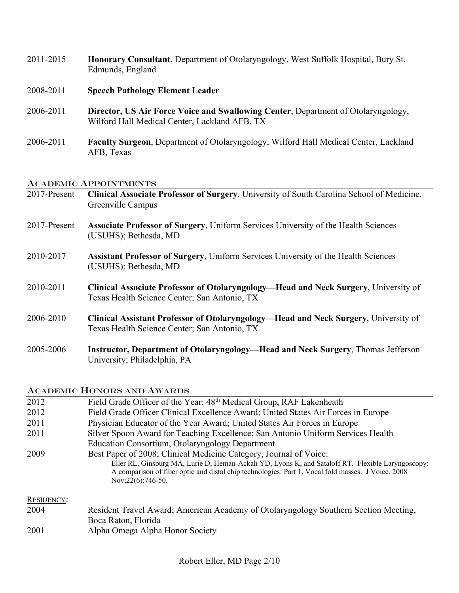- 2011-2015 **Honorary Consultant,** Department of Otolaryngology, West Suffolk Hospital, Bury St. Edmunds, England
- 2008-2011 **Speech Pathology Element Leader**
- 2006-2011 **Director, US Air Force Voice and Swallowing Center**, Department of Otolaryngology, Wilford Hall Medical Center, Lackland AFB, TX
- 2006-2011 **Faculty Surgeon**, Department of Otolaryngology, Wilford Hall Medical Center, Lackland AFB, Texas

#### ACADEMIC APPOINTMENTS

| 2017-Present | Clinical Associate Professor of Surgery, University of South Carolina School of Medicine,<br>Greenville Campus                             |
|--------------|--------------------------------------------------------------------------------------------------------------------------------------------|
| 2017-Present | Associate Professor of Surgery, Uniform Services University of the Health Sciences<br>(USUHS); Bethesda, MD                                |
| 2010-2017    | Assistant Professor of Surgery, Uniform Services University of the Health Sciences<br>(USUHS); Bethesda, MD                                |
| 2010-2011    | <b>Clinical Associate Professor of Otolaryngology—Head and Neck Surgery, University of</b><br>Texas Health Science Center; San Antonio, TX |
| 2006-2010    | <b>Clinical Assistant Professor of Otolaryngology—Head and Neck Surgery, University of</b><br>Texas Health Science Center; San Antonio, TX |
| 2005-2006    | Instructor, Department of Otolaryngology—Head and Neck Surgery, Thomas Jefferson<br>University; Philadelphia, PA                           |

#### ACADEMIC HONORS AND AWARDS

| 2012              | Field Grade Officer of the Year; 48 <sup>th</sup> Medical Group, RAF Lakenheath                                                                                                                                                  |  |  |
|-------------------|----------------------------------------------------------------------------------------------------------------------------------------------------------------------------------------------------------------------------------|--|--|
| 2012              | Field Grade Officer Clinical Excellence Award; United States Air Forces in Europe                                                                                                                                                |  |  |
| 2011              | Physician Educator of the Year Award; United States Air Forces in Europe                                                                                                                                                         |  |  |
| 2011              | Silver Spoon Award for Teaching Excellence; San Antonio Uniform Services Health                                                                                                                                                  |  |  |
|                   | Education Consortium, Otolaryngology Department                                                                                                                                                                                  |  |  |
| 2009              | Best Paper of 2008; Clinical Medicine Category, Journal of Voice:                                                                                                                                                                |  |  |
|                   | Eller RL, Ginsburg MA, Lurie D, Heman-Ackah YD, Lyons K, and Sataloff RT. Flexible Laryngoscopy:<br>A comparison of fiber optic and distal chip technologies: Part 1, Vocal fold masses. J Voice. 2008<br>Nov; $22(6)$ : 746-50. |  |  |
| <b>RESIDENCY:</b> |                                                                                                                                                                                                                                  |  |  |
| 2004              | Resident Travel Award; American Academy of Otolaryngology Southern Section Meeting,                                                                                                                                              |  |  |
|                   | Boca Raton, Florida                                                                                                                                                                                                              |  |  |
| 2001              | Alpha Omega Alpha Honor Society                                                                                                                                                                                                  |  |  |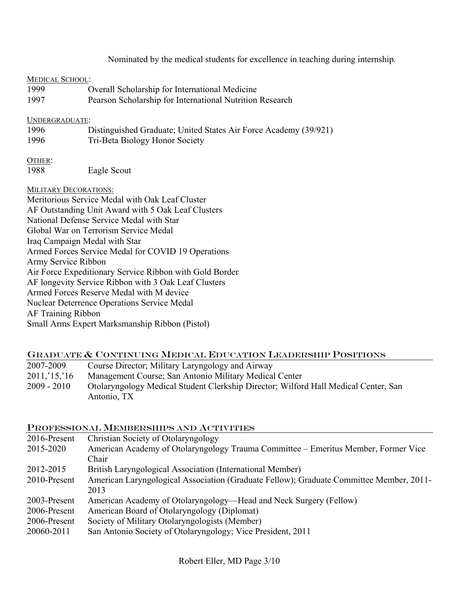Nominated by the medical students for excellence in teaching during internship*.*

#### MEDICAL SCHOOL:

| 1999 | Overall Scholarship for International Medicine           |
|------|----------------------------------------------------------|
| 1997 | Pearson Scholarship for International Nutrition Research |

#### UNDERGRADUATE:

1996 Distinguished Graduate; United States Air Force Academy (39/921) 1996 Tri-Beta Biology Honor Society

OTHER:

1988 Eagle Scout

#### MILITARY DECORATIONS:

Meritorious Service Medal with Oak Leaf Cluster AF Outstanding Unit Award with 5 Oak Leaf Clusters National Defense Service Medal with Star Global War on Terrorism Service Medal Iraq Campaign Medal with Star Armed Forces Service Medal for COVID 19 Operations Army Service Ribbon Air Force Expeditionary Service Ribbon with Gold Border AF longevity Service Ribbon with 3 Oak Leaf Clusters Armed Forces Reserve Medal with M device Nuclear Deterrence Operations Service Medal AF Training Ribbon Small Arms Expert Marksmanship Ribbon (Pistol)

## GRADUATE & CONTINUING MEDICAL EDUCATION LEADERSHIP POSITIONS

| 2007-2009    | Course Director; Military Laryngology and Airway                                    |
|--------------|-------------------------------------------------------------------------------------|
| 2011, 15, 16 | Management Course; San Antonio Military Medical Center                              |
| 2009 - 2010  | Otolaryngology Medical Student Clerkship Director; Wilford Hall Medical Center, San |
|              | Antonio, TX                                                                         |

## PROFESSIONAL MEMBERSHIPS AND ACTIVITIES

| 2016-Present | Christian Society of Otolaryngology                                                     |  |  |
|--------------|-----------------------------------------------------------------------------------------|--|--|
| 2015-2020    | American Academy of Otolaryngology Trauma Committee – Emeritus Member, Former Vice      |  |  |
|              | Chair                                                                                   |  |  |
| 2012-2015    | British Laryngological Association (International Member)                               |  |  |
| 2010-Present | American Laryngological Association (Graduate Fellow); Graduate Committee Member, 2011- |  |  |
|              | 2013                                                                                    |  |  |
| 2003-Present | American Academy of Otolaryngology—Head and Neck Surgery (Fellow)                       |  |  |
| 2006-Present | American Board of Otolaryngology (Diplomat)                                             |  |  |
| 2006-Present | Society of Military Otolaryngologists (Member)                                          |  |  |
| 20060-2011   | San Antonio Society of Otolaryngology; Vice President, 2011                             |  |  |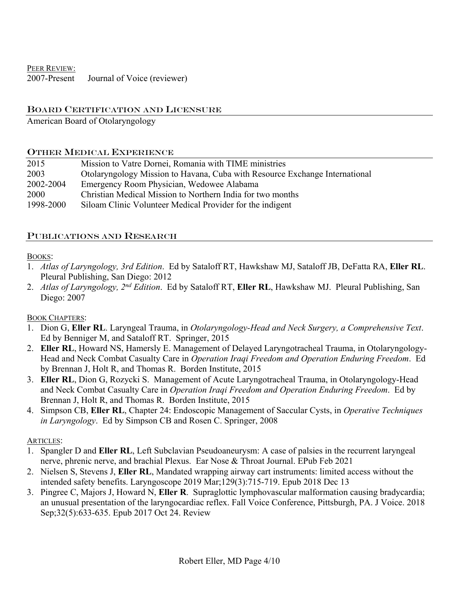PEER REVIEW: 2007-Present Journal of Voice (reviewer)

## BOARD CERTIFICATION AND LICENSURE

American Board of Otolaryngology

#### OTHER MEDICAL EXPERIENCE

| 2015      | Mission to Vatre Dornei, Romania with TIME ministries                       |
|-----------|-----------------------------------------------------------------------------|
| 2003      | Otolaryngology Mission to Havana, Cuba with Resource Exchange International |
| 2002-2004 | Emergency Room Physician, Wedowee Alabama                                   |
| 2000      | Christian Medical Mission to Northern India for two months                  |
| 1998-2000 | Siloam Clinic Volunteer Medical Provider for the indigent                   |

## PUBLICATIONS AND RESEARCH

#### BOOKS:

- 1. *Atlas of Laryngology, 3rd Edition*. Ed by Sataloff RT, Hawkshaw MJ, Sataloff JB, DeFatta RA, **Eller RL**. Pleural Publishing, San Diego: 2012
- 2. *Atlas of Laryngology, 2nd Edition*. Ed by Sataloff RT, **Eller RL**, Hawkshaw MJ. Pleural Publishing, San Diego: 2007

## BOOK CHAPTERS:

- 1. Dion G, **Eller RL**. Laryngeal Trauma, in *Otolaryngology-Head and Neck Surgery, a Comprehensive Text*. Ed by Benniger M, and Sataloff RT. Springer, 2015
- 2. **Eller RL**, Howard NS, Hamersly E. Management of Delayed Laryngotracheal Trauma, in Otolaryngology-Head and Neck Combat Casualty Care in *Operation Iraqi Freedom and Operation Enduring Freedom*. Ed by Brennan J, Holt R, and Thomas R. Borden Institute, 2015
- 3. **Eller RL**, Dion G, Rozycki S. Management of Acute Laryngotracheal Trauma, in Otolaryngology-Head and Neck Combat Casualty Care in *Operation Iraqi Freedom and Operation Enduring Freedom*. Ed by Brennan J, Holt R, and Thomas R. Borden Institute, 2015
- 4. Simpson CB, **Eller RL**, Chapter 24: Endoscopic Management of Saccular Cysts, in *Operative Techniques in Laryngology*. Ed by Simpson CB and Rosen C. Springer, 2008

## ARTICLES:

- 1. Spangler D and **Eller RL**, Left Subclavian Pseudoaneurysm: A case of palsies in the recurrent laryngeal nerve, phrenic nerve, and brachial Plexus. Ear Nose & Throat Journal. EPub Feb 2021
- 2. Nielsen S, Stevens J, **Eller RL**, Mandated wrapping airway cart instruments: limited access without the intended safety benefits. Laryngoscope 2019 Mar;129(3):715-719. Epub 2018 Dec 13
- 3. Pingree C, Majors J, Howard N, **Eller R**. Supraglottic lymphovascular malformation causing bradycardia; an unusual presentation of the laryngocardiac reflex. Fall Voice Conference, Pittsburgh, PA. J Voice. 2018 Sep;32(5):633-635. Epub 2017 Oct 24. Review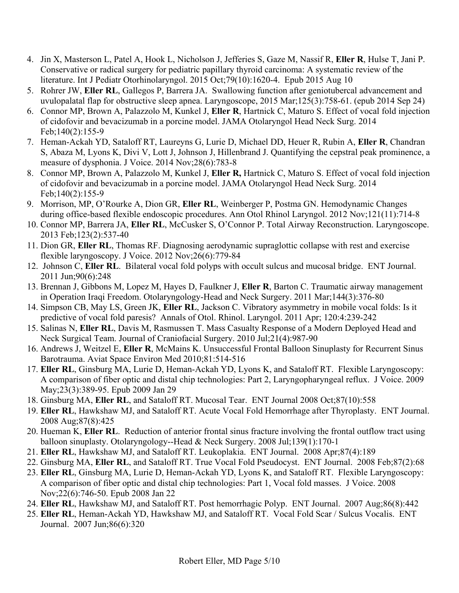- 4. Jin X, Masterson L, Patel A, Hook L, Nicholson J, Jefferies S, Gaze M, Nassif R, **Eller R**, Hulse T, Jani P. Conservative or radical surgery for pediatric papillary thyroid carcinoma: A systematic review of the literature. Int J Pediatr Otorhinolaryngol. 2015 Oct;79(10):1620-4. Epub 2015 Aug 10
- 5. Rohrer JW, **Eller RL**, Gallegos P, Barrera JA. Swallowing function after geniotubercal advancement and uvulopalatal flap for obstructive sleep apnea. Laryngoscope, 2015 Mar;125(3):758-61. (epub 2014 Sep 24)
- 6. Connor MP, Brown A, Palazzolo M, Kunkel J, **Eller R**, Hartnick C, Maturo S. Effect of vocal fold injection of cidofovir and bevacizumab in a porcine model. JAMA Otolaryngol Head Neck Surg. 2014 Feb;140(2):155-9
- 7. Heman-Ackah YD, Sataloff RT, Laureyns G, Lurie D, Michael DD, Heuer R, Rubin A, **Eller R**, Chandran S, Abaza M, Lyons K, Divi V, Lott J, Johnson J, Hillenbrand J. Quantifying the cepstral peak prominence, a measure of dysphonia. J Voice. 2014 Nov;28(6):783-8
- 8. Connor MP, Brown A, Palazzolo M, Kunkel J, **Eller R,** Hartnick C, Maturo S. Effect of vocal fold injection of cidofovir and bevacizumab in a porcine model. JAMA Otolaryngol Head Neck Surg. 2014 Feb;140(2):155-9
- 9. Morrison, MP, O'Rourke A, Dion GR, **Eller RL**, Weinberger P, Postma GN. Hemodynamic Changes during office-based flexible endoscopic procedures. Ann Otol Rhinol Laryngol. 2012 Nov;121(11):714-8
- 10. Connor MP, Barrera JA, **Eller RL**, McCusker S, O'Connor P. Total Airway Reconstruction. Laryngoscope. 2013 Feb;123(2):537-40
- 11. Dion GR, **Eller RL**, Thomas RF. Diagnosing aerodynamic supraglottic collapse with rest and exercise flexible laryngoscopy. J Voice. 2012 Nov;26(6):779-84
- 12. Johnson C, **Eller RL**. Bilateral vocal fold polyps with occult sulcus and mucosal bridge. ENT Journal. 2011 Jun;90(6):248
- 13. Brennan J, Gibbons M, Lopez M, Hayes D, Faulkner J, **Eller R**, Barton C. Traumatic airway management in Operation Iraqi Freedom. Otolaryngology-Head and Neck Surgery. 2011 Mar;144(3):376-80
- 14. Simpson CB, May LS, Green JK, **Eller RL**, Jackson C. Vibratory asymmetry in mobile vocal folds: Is it predictive of vocal fold paresis? Annals of Otol. Rhinol. Laryngol. 2011 Apr; 120:4:239-242
- 15. Salinas N, **Eller RL**, Davis M, Rasmussen T. Mass Casualty Response of a Modern Deployed Head and Neck Surgical Team. Journal of Craniofacial Surgery. 2010 Jul;21(4):987-90
- 16. Andrews J, Weitzel E, **Eller R**, McMains K. Unsuccessful Frontal Balloon Sinuplasty for Recurrent Sinus Barotrauma. Aviat Space Environ Med 2010;81:514-516
- 17. **Eller RL**, Ginsburg MA, Lurie D, Heman-Ackah YD, Lyons K, and Sataloff RT. Flexible Laryngoscopy: A comparison of fiber optic and distal chip technologies: Part 2, Laryngopharyngeal reflux. J Voice. 2009 May;23(3):389-95. Epub 2009 Jan 29
- 18. Ginsburg MA, **Eller RL**, and Sataloff RT. Mucosal Tear. ENT Journal 2008 Oct;87(10):558
- 19. **Eller RL**, Hawkshaw MJ, and Sataloff RT. Acute Vocal Fold Hemorrhage after Thyroplasty. ENT Journal. 2008 Aug;87(8):425
- 20. Hueman K, **Eller RL**. Reduction of anterior frontal sinus fracture involving the frontal outflow tract using balloon sinuplasty. Otolaryngology--Head & Neck Surgery. 2008 Jul;139(1):170-1
- 21. **Eller RL**, Hawkshaw MJ, and Sataloff RT. Leukoplakia. ENT Journal. 2008 Apr;87(4):189
- 22. Ginsburg MA, **Eller RL**, and Sataloff RT. True Vocal Fold Pseudocyst. ENT Journal. 2008 Feb;87(2):68
- 23. **Eller RL**, Ginsburg MA, Lurie D, Heman-Ackah YD, Lyons K, and Sataloff RT. Flexible Laryngoscopy: A comparison of fiber optic and distal chip technologies: Part 1, Vocal fold masses. J Voice. 2008 Nov;22(6):746-50. Epub 2008 Jan 22
- 24. **Eller RL**, Hawkshaw MJ, and Sataloff RT. Post hemorrhagic Polyp. ENT Journal. 2007 Aug;86(8):442
- 25. **Eller RL**, Heman-Ackah YD, Hawkshaw MJ, and Sataloff RT. Vocal Fold Scar / Sulcus Vocalis. ENT Journal. 2007 Jun;86(6):320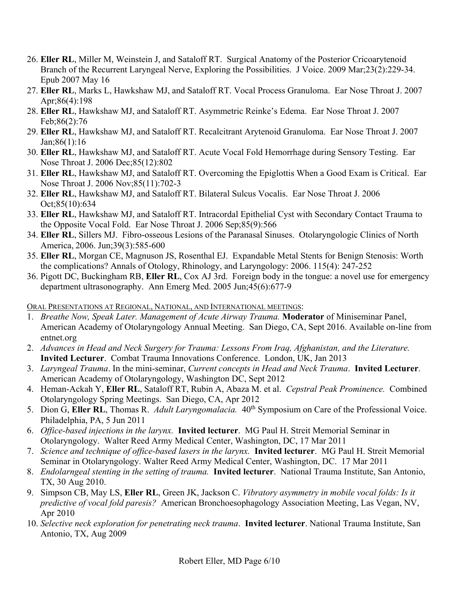- 26. **Eller RL**, Miller M, Weinstein J, and Sataloff RT. Surgical Anatomy of the Posterior Cricoarytenoid Branch of the Recurrent Laryngeal Nerve, Exploring the Possibilities. J Voice. 2009 Mar;23(2):229-34. Epub 2007 May 16
- 27. **Eller RL**, Marks L, Hawkshaw MJ, and Sataloff RT. Vocal Process Granuloma. Ear Nose Throat J. 2007 Apr;86(4):198
- 28. **Eller RL**, Hawkshaw MJ, and Sataloff RT. Asymmetric Reinke's Edema. Ear Nose Throat J. 2007 Feb;86(2):76
- 29. **Eller RL**, Hawkshaw MJ, and Sataloff RT. Recalcitrant Arytenoid Granuloma. Ear Nose Throat J. 2007 Jan;86(1):16
- 30. **Eller RL**, Hawkshaw MJ, and Sataloff RT. Acute Vocal Fold Hemorrhage during Sensory Testing. Ear Nose Throat J. 2006 Dec;85(12):802
- 31. **Eller RL**, Hawkshaw MJ, and Sataloff RT. Overcoming the Epiglottis When a Good Exam is Critical. Ear Nose Throat J. 2006 Nov;85(11):702-3
- 32. **Eller RL**, Hawkshaw MJ, and Sataloff RT. Bilateral Sulcus Vocalis. Ear Nose Throat J. 2006 Oct;85(10):634
- 33. **Eller RL**, Hawkshaw MJ, and Sataloff RT. Intracordal Epithelial Cyst with Secondary Contact Trauma to the Opposite Vocal Fold. Ear Nose Throat J. 2006 Sep;85(9):566
- 34. **Eller RL**, Sillers MJ. Fibro-osseous Lesions of the Paranasal Sinuses. Otolaryngologic Clinics of North America, 2006. Jun;39(3):585-600
- 35. **Eller RL**, Morgan CE, Magnuson JS, Rosenthal EJ. Expandable Metal Stents for Benign Stenosis: Worth the complications? Annals of Otology, Rhinology, and Laryngology: 2006. 115(4): 247-252
- 36. Pigott DC, Buckingham RB, **Eller RL**, Cox AJ 3rd. Foreign body in the tongue: a novel use for emergency department ultrasonography. Ann Emerg Med. 2005 Jun;45(6):677-9

ORAL PRESENTATIONS AT REGIONAL, NATIONAL, AND INTERNATIONAL MEETINGS:

- 1. *Breathe Now, Speak Later. Management of Acute Airway Trauma.* **Moderator** of Miniseminar Panel, American Academy of Otolaryngology Annual Meeting. San Diego, CA, Sept 2016. Available on-line from entnet.org
- 2. *Advances in Head and Neck Surgery for Trauma: Lessons From Iraq, Afghanistan, and the Literature.* **Invited Lecturer**. Combat Trauma Innovations Conference. London, UK, Jan 2013
- 3. *Laryngeal Trauma*. In the mini-seminar, *Current concepts in Head and Neck Trauma*. **Invited Lecturer**. American Academy of Otolaryngology, Washington DC, Sept 2012
- 4. Heman-Ackah Y, **Eller RL**, Sataloff RT, Rubin A, Abaza M. et al. *Cepstral Peak Prominence.* Combined Otolaryngology Spring Meetings. San Diego, CA, Apr 2012
- 5. Dion G, Eller RL, Thomas R. *Adult Laryngomalacia*. 40<sup>th</sup> Symposium on Care of the Professional Voice. Philadelphia, PA, 5 Jun 2011
- 6. *Office-based injections in the larynx.* **Invited lecturer**. MG Paul H. Streit Memorial Seminar in Otolaryngology. Walter Reed Army Medical Center, Washington, DC, 17 Mar 2011
- 7. *Science and technique of office-based lasers in the larynx.* **Invited lecturer**. MG Paul H. Streit Memorial Seminar in Otolaryngology. Walter Reed Army Medical Center, Washington, DC. 17 Mar 2011
- 8. *Endolarngeal stenting in the setting of trauma.* **Invited lecturer**. National Trauma Institute, San Antonio, TX, 30 Aug 2010.
- 9. Simpson CB, May LS, **Eller RL**, Green JK, Jackson C. *Vibratory asymmetry in mobile vocal folds: Is it predictive of vocal fold paresis?* American Bronchoesophagology Association Meeting, Las Vegan, NV, Apr 2010
- 10. *Selective neck exploration for penetrating neck trauma*. **Invited lecturer**. National Trauma Institute, San Antonio, TX, Aug 2009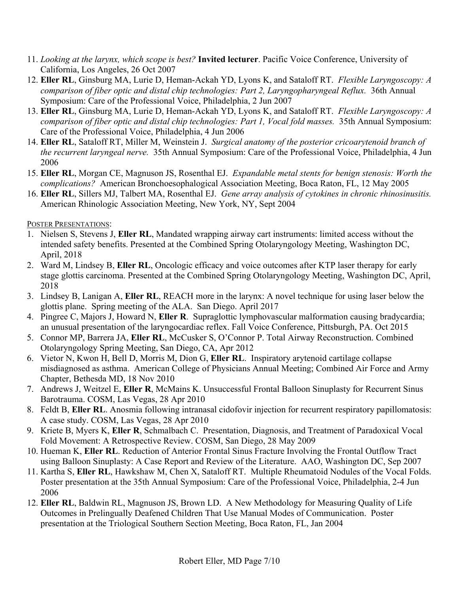- 11. *Looking at the larynx, which scope is best?* **Invited lecturer**. Pacific Voice Conference, University of California, Los Angeles, 26 Oct 2007
- 12. **Eller RL**, Ginsburg MA, Lurie D, Heman-Ackah YD, Lyons K, and Sataloff RT. *Flexible Laryngoscopy: A comparison of fiber optic and distal chip technologies: Part 2, Laryngopharyngeal Reflux.* 36th Annual Symposium: Care of the Professional Voice, Philadelphia, 2 Jun 2007
- 13. **Eller RL**, Ginsburg MA, Lurie D, Heman-Ackah YD, Lyons K, and Sataloff RT. *Flexible Laryngoscopy: A comparison of fiber optic and distal chip technologies: Part 1, Vocal fold masses.* 35th Annual Symposium: Care of the Professional Voice, Philadelphia, 4 Jun 2006
- 14. **Eller RL**, Sataloff RT, Miller M, Weinstein J. *Surgical anatomy of the posterior cricoarytenoid branch of the recurrent laryngeal nerve.* 35th Annual Symposium: Care of the Professional Voice, Philadelphia, 4 Jun 2006
- 15. **Eller RL**, Morgan CE, Magnuson JS, Rosenthal EJ. *Expandable metal stents for benign stenosis: Worth the complications?* American Bronchoesophalogical Association Meeting, Boca Raton, FL, 12 May 2005
- 16. **Eller RL**, Sillers MJ, Talbert MA, Rosenthal EJ. *Gene array analysis of cytokines in chronic rhinosinusitis.* American Rhinologic Association Meeting, New York, NY, Sept 2004

POSTER PRESENTATIONS:

- 1. Nielsen S, Stevens J, **Eller RL**, Mandated wrapping airway cart instruments: limited access without the intended safety benefits. Presented at the Combined Spring Otolaryngology Meeting, Washington DC, April, 2018
- 2. Ward M, Lindsey B, **Eller RL**, Oncologic efficacy and voice outcomes after KTP laser therapy for early stage glottis carcinoma. Presented at the Combined Spring Otolaryngology Meeting, Washington DC, April, 2018
- 3. Lindsey B, Lanigan A, **Eller RL**, REACH more in the larynx: A novel technique for using laser below the glottis plane. Spring meeting of the ALA. San Diego. April 2017
- 4. Pingree C, Majors J, Howard N, **Eller R**. Supraglottic lymphovascular malformation causing bradycardia; an unusual presentation of the laryngocardiac reflex. Fall Voice Conference, Pittsburgh, PA. Oct 2015
- 5. Connor MP, Barrera JA, **Eller RL**, McCusker S, O'Connor P. Total Airway Reconstruction. Combined Otolaryngology Spring Meeting, San Diego, CA, Apr 2012
- 6. Vietor N, Kwon H, Bell D, Morris M, Dion G, **Eller RL**. Inspiratory arytenoid cartilage collapse misdiagnosed as asthma. American College of Physicians Annual Meeting; Combined Air Force and Army Chapter, Bethesda MD, 18 Nov 2010
- 7. Andrews J, Weitzel E, **Eller R**, McMains K. Unsuccessful Frontal Balloon Sinuplasty for Recurrent Sinus Barotrauma. COSM, Las Vegas, 28 Apr 2010
- 8. Feldt B, **Eller RL**. Anosmia following intranasal cidofovir injection for recurrent respiratory papillomatosis: A case study. COSM, Las Vegas, 28 Apr 2010
- 9. Kriete B, Myers K, **Eller R**, Schmalbach C. Presentation, Diagnosis, and Treatment of Paradoxical Vocal Fold Movement: A Retrospective Review. COSM, San Diego, 28 May 2009
- 10. Hueman K, **Eller RL**. Reduction of Anterior Frontal Sinus Fracture Involving the Frontal Outflow Tract using Balloon Sinuplasty: A Case Report and Review of the Literature. AAO, Washington DC, Sep 2007
- 11. Kartha S, **Eller RL**, Hawkshaw M, Chen X, Sataloff RT. Multiple Rheumatoid Nodules of the Vocal Folds. Poster presentation at the 35th Annual Symposium: Care of the Professional Voice, Philadelphia, 2-4 Jun 2006
- 12. **Eller RL**, Baldwin RL, Magnuson JS, Brown LD. A New Methodology for Measuring Quality of Life Outcomes in Prelingually Deafened Children That Use Manual Modes of Communication. Poster presentation at the Triological Southern Section Meeting, Boca Raton, FL, Jan 2004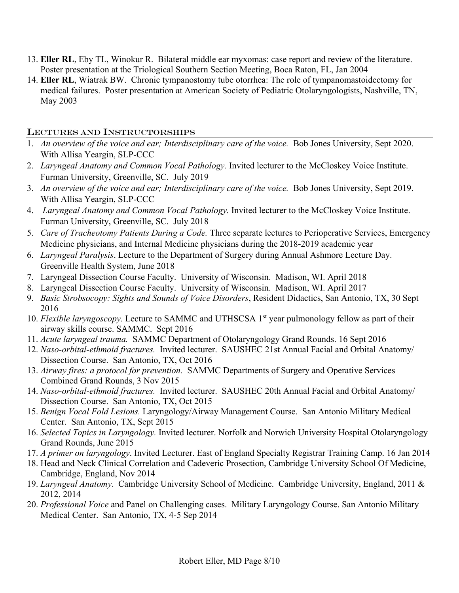- 13. **Eller RL**, Eby TL, Winokur R. Bilateral middle ear myxomas: case report and review of the literature. Poster presentation at the Triological Southern Section Meeting, Boca Raton, FL, Jan 2004
- 14. **Eller RL**, Wiatrak BW. Chronic tympanostomy tube otorrhea: The role of tympanomastoidectomy for medical failures. Poster presentation at American Society of Pediatric Otolaryngologists, Nashville, TN, May 2003

## LECTURES AND INSTRUCTORSHIPS

- 1. *An overview of the voice and ear; Interdisciplinary care of the voice.* Bob Jones University, Sept 2020. With Allisa Yeargin, SLP-CCC
- 2. *Laryngeal Anatomy and Common Vocal Pathology.* Invited lecturer to the McCloskey Voice Institute. Furman University, Greenville, SC. July 2019
- 3. *An overview of the voice and ear; Interdisciplinary care of the voice.* Bob Jones University, Sept 2019. With Allisa Yeargin, SLP-CCC
- 4. *Laryngeal Anatomy and Common Vocal Pathology.* Invited lecturer to the McCloskey Voice Institute. Furman University, Greenville, SC. July 2018
- 5. *Care of Tracheotomy Patients During a Code.* Three separate lectures to Perioperative Services, Emergency Medicine physicians, and Internal Medicine physicians during the 2018-2019 academic year
- 6. *Laryngeal Paralysis*. Lecture to the Department of Surgery during Annual Ashmore Lecture Day. Greenville Health System, June 2018
- 7. Laryngeal Dissection Course Faculty. University of Wisconsin. Madison, WI. April 2018
- 8. Laryngeal Dissection Course Faculty. University of Wisconsin. Madison, WI. April 2017
- 9. *Basic Strobsocopy: Sights and Sounds of Voice Disorders*, Resident Didactics, San Antonio, TX, 30 Sept 2016
- 10. *Flexible laryngoscopy*. Lecture to SAMMC and UTHSCSA 1<sup>st</sup> year pulmonology fellow as part of their airway skills course. SAMMC. Sept 2016
- 11. *Acute laryngeal trauma.* SAMMC Department of Otolaryngology Grand Rounds. 16 Sept 2016
- 12. *Naso-orbital-ethmoid fractures.* Invited lecturer. SAUSHEC 21st Annual Facial and Orbital Anatomy/ Dissection Course. San Antonio, TX, Oct 2016
- 13. *Airway fires: a protocol for prevention.* SAMMC Departments of Surgery and Operative Services Combined Grand Rounds, 3 Nov 2015
- 14. *Naso-orbital-ethmoid fractures.* Invited lecturer. SAUSHEC 20th Annual Facial and Orbital Anatomy/ Dissection Course. San Antonio, TX, Oct 2015
- 15. *Benign Vocal Fold Lesions.* Laryngology/Airway Management Course. San Antonio Military Medical Center. San Antonio, TX, Sept 2015
- 16. *Selected Topics in Laryngology.* Invited lecturer. Norfolk and Norwich University Hospital Otolaryngology Grand Rounds, June 2015
- 17. *A primer on laryngology*. Invited Lecturer. East of England Specialty Registrar Training Camp. 16 Jan 2014
- 18. Head and Neck Clinical Correlation and Cadeveric Prosection, Cambridge University School Of Medicine, Cambridge, England, Nov 2014
- 19. *Laryngeal Anatomy*. Cambridge University School of Medicine. Cambridge University, England, 2011 & 2012, 2014
- 20. *Professional Voice* and Panel on Challenging cases. Military Laryngology Course. San Antonio Military Medical Center. San Antonio, TX, 4-5 Sep 2014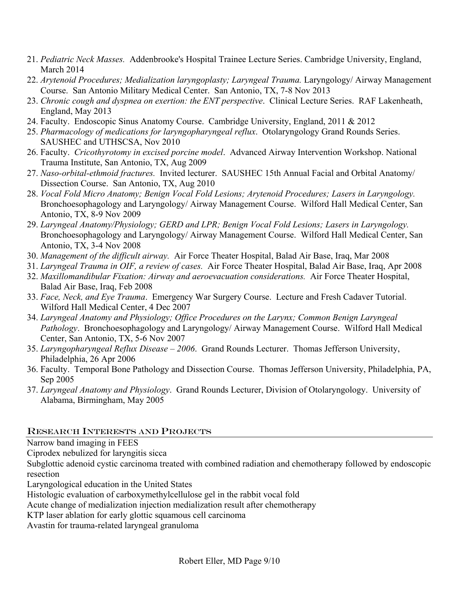- 21. *Pediatric Neck Masses.* Addenbrooke's Hospital Trainee Lecture Series. Cambridge University, England, March 2014
- 22. *Arytenoid Procedures; Medialization laryngoplasty; Laryngeal Trauma.* Laryngology/ Airway Management Course. San Antonio Military Medical Center. San Antonio, TX, 7-8 Nov 2013
- 23. *Chronic cough and dyspnea on exertion: the ENT perspective*. Clinical Lecture Series. RAF Lakenheath, England, May 2013
- 24. Faculty. Endoscopic Sinus Anatomy Course. Cambridge University, England, 2011 & 2012
- 25. *Pharmacology of medications for laryngopharyngeal reflux*. Otolaryngology Grand Rounds Series. SAUSHEC and UTHSCSA, Nov 2010
- 26. Faculty. *Cricothyrotomy in excised porcine model*. Advanced Airway Intervention Workshop. National Trauma Institute, San Antonio, TX, Aug 2009
- 27. *Naso-orbital-ethmoid fractures.* Invited lecturer. SAUSHEC 15th Annual Facial and Orbital Anatomy/ Dissection Course. San Antonio, TX, Aug 2010
- 28. *Vocal Fold Micro Anatomy; Benign Vocal Fold Lesions; Arytenoid Procedures; Lasers in Laryngology.*  Bronchoesophagology and Laryngology/ Airway Management Course. Wilford Hall Medical Center, San Antonio, TX, 8-9 Nov 2009
- 29. *Laryngeal Anatomy/Physiology; GERD and LPR; Benign Vocal Fold Lesions; Lasers in Laryngology.*  Bronchoesophagology and Laryngology/ Airway Management Course. Wilford Hall Medical Center, San Antonio, TX, 3-4 Nov 2008
- 30. *Management of the difficult airway.* Air Force Theater Hospital, Balad Air Base, Iraq, Mar 2008
- 31. *Laryngeal Trauma in OIF, a review of cases.* Air Force Theater Hospital, Balad Air Base, Iraq, Apr 2008
- 32. *Maxillomandibular Fixation: Airway and aeroevacuation considerations.* Air Force Theater Hospital, Balad Air Base, Iraq, Feb 2008
- 33. *Face, Neck, and Eye Trauma*. Emergency War Surgery Course. Lecture and Fresh Cadaver Tutorial. Wilford Hall Medical Center, 4 Dec 2007
- 34. *Laryngeal Anatomy and Physiology; Office Procedures on the Larynx; Common Benign Laryngeal Pathology*. Bronchoesophagology and Laryngology/ Airway Management Course. Wilford Hall Medical Center, San Antonio, TX, 5-6 Nov 2007
- 35. *Laryngopharyngeal Reflux Disease 2006*. Grand Rounds Lecturer. Thomas Jefferson University, Philadelphia, 26 Apr 2006
- 36. Faculty. Temporal Bone Pathology and Dissection Course. Thomas Jefferson University, Philadelphia, PA, Sep 2005
- 37. *Laryngeal Anatomy and Physiology*. Grand Rounds Lecturer, Division of Otolaryngology. University of Alabama, Birmingham, May 2005

## RESEARCH INTERESTS AND PROJECTS

Narrow band imaging in FEES

Ciprodex nebulized for laryngitis sicca

Subglottic adenoid cystic carcinoma treated with combined radiation and chemotherapy followed by endoscopic resection

Laryngological education in the United States

Histologic evaluation of carboxymethylcellulose gel in the rabbit vocal fold

Acute change of medialization injection medialization result after chemotherapy

KTP laser ablation for early glottic squamous cell carcinoma

Avastin for trauma-related laryngeal granuloma